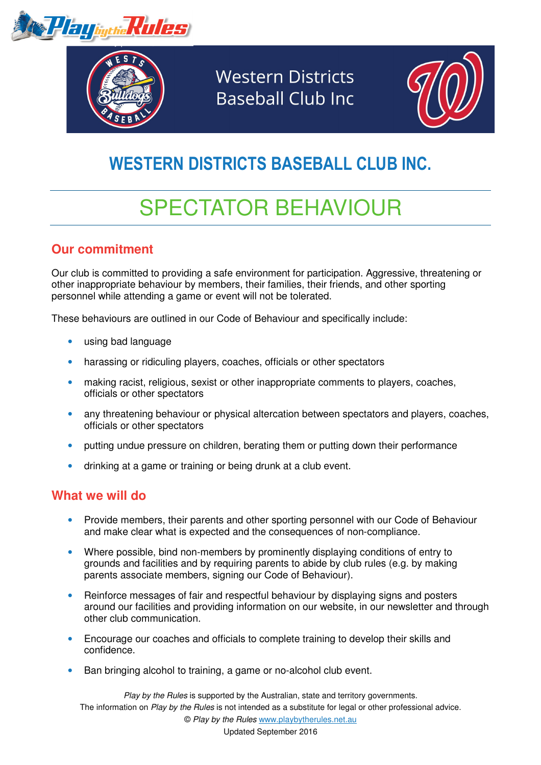



**Western Districts Baseball Club Inc** 



## WESTERN DISTRICTS BASEBALL CLUB INC.

# SPECTATOR BEHAVIOUR

#### **Our commitment**

Our club is committed to providing a safe environment for participation. Aggressive, threatening or other inappropriate behaviour by members, their families, their friends, and other sporting personnel while attending a game or event will not be tolerated.

These behaviours are outlined in our Code of Behaviour and specifically include:

- using bad language
- harassing or ridiculing players, coaches, officials or other spectators
- making racist, religious, sexist or other inappropriate comments to players, coaches, officials or other spectators
- any threatening behaviour or physical altercation between spectators and players, coaches, officials or other spectators
- putting undue pressure on children, berating them or putting down their performance
- drinking at a game or training or being drunk at a club event.

#### **What we will do**

- Provide members, their parents and other sporting personnel with our Code of Behaviour and make clear what is expected and the consequences of non-compliance.
- Where possible, bind non-members by prominently displaying conditions of entry to grounds and facilities and by requiring parents to abide by club rules (e.g. by making parents associate members, signing our Code of Behaviour).
- Reinforce messages of fair and respectful behaviour by displaying signs and posters around our facilities and providing information on our website, in our newsletter and through other club communication.
- Encourage our coaches and officials to complete training to develop their skills and confidence.
- Ban bringing alcohol to training, a game or no-alcohol club event.

Play by the Rules is supported by the Australian, state and territory governments. The information on Play by the Rules is not intended as a substitute for legal or other professional advice. © Play by the Rules www.playbytherules.net.au